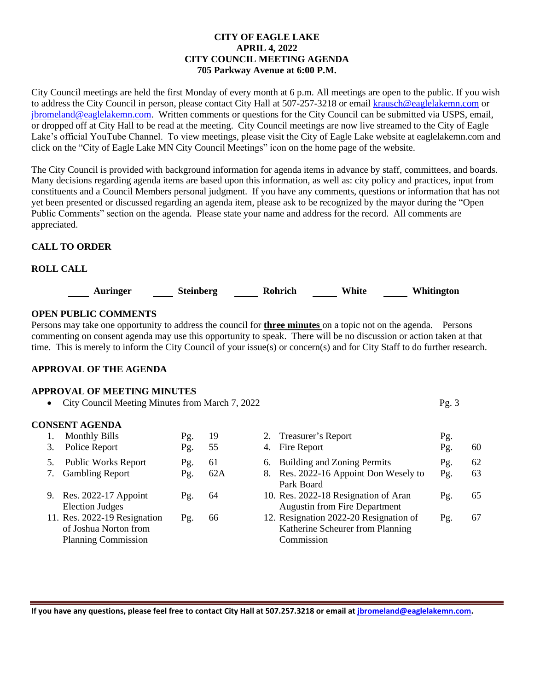### **CITY OF EAGLE LAKE APRIL 4, 2022 CITY COUNCIL MEETING AGENDA 705 Parkway Avenue at 6:00 P.M.**

City Council meetings are held the first Monday of every month at 6 p.m. All meetings are open to the public. If you wish to address the City Council in person, please contact City Hall at 507-257-3218 or emai[l krausch@eaglelakemn.com](mailto:krausch@eaglelakemn.com) or [jbromeland@eaglelakemn.com.](mailto:jbromeland@eaglelakemn.com) Written comments or questions for the City Council can be submitted via USPS, email, or dropped off at City Hall to be read at the meeting. City Council meetings are now live streamed to the City of Eagle Lake's official YouTube Channel. To view meetings, please visit the City of Eagle Lake website at eaglelakemn.com and click on the "City of Eagle Lake MN City Council Meetings" icon on the home page of the website.

The City Council is provided with background information for agenda items in advance by staff, committees, and boards. Many decisions regarding agenda items are based upon this information, as well as: city policy and practices, input from constituents and a Council Members personal judgment. If you have any comments, questions or information that has not yet been presented or discussed regarding an agenda item, please ask to be recognized by the mayor during the "Open Public Comments" section on the agenda. Please state your name and address for the record. All comments are appreciated.

## **CALL TO ORDER**

## **ROLL CALL**



## **OPEN PUBLIC COMMENTS**

Persons may take one opportunity to address the council for **three minutes** on a topic not on the agenda. Persons commenting on consent agenda may use this opportunity to speak. There will be no discussion or action taken at that time. This is merely to inform the City Council of your issue(s) or concern(s) and for City Staff to do further research.

#### **APPROVAL OF THE AGENDA**

| <b>APPROVAL OF MEETING MINUTES</b>                |      |
|---------------------------------------------------|------|
| • City Council Meeting Minutes from March 7, 2022 | Pg.3 |
|                                                   |      |

## **CONSENT AGENDA**

| <b>Monthly Bills</b>         | Pg. | 19  | 2. Treasurer's Report                  | Pg. |    |
|------------------------------|-----|-----|----------------------------------------|-----|----|
| Police Report                | Pg. | 55  | 4. Fire Report                         | Pg. | 60 |
| <b>Public Works Report</b>   | Pg. | 61  | 6. Building and Zoning Permits         | Pg. | 62 |
| <b>Gambling Report</b>       | Pg. | 62A | 8. Res. 2022-16 Appoint Don Wesely to  | Pg. | 63 |
|                              |     |     | Park Board                             |     |    |
| 9. Res. 2022-17 Appoint      | Pg. | 64  | 10. Res. 2022-18 Resignation of Aran   | Pg. | 65 |
| <b>Election Judges</b>       |     |     | <b>Augustin from Fire Department</b>   |     |    |
| 11. Res. 2022-19 Resignation | Pg. | 66  | 12. Resignation 2022-20 Resignation of | Pg. | 67 |
| of Joshua Norton from        |     |     | Katherine Scheurer from Planning       |     |    |
| <b>Planning Commission</b>   |     |     | Commission                             |     |    |

**If you have any questions, please feel free to contact City Hall at 507.257.3218 or email at [jbromeland@eaglelakemn.com.](mailto:jbromeland@eaglelakemn.com)**